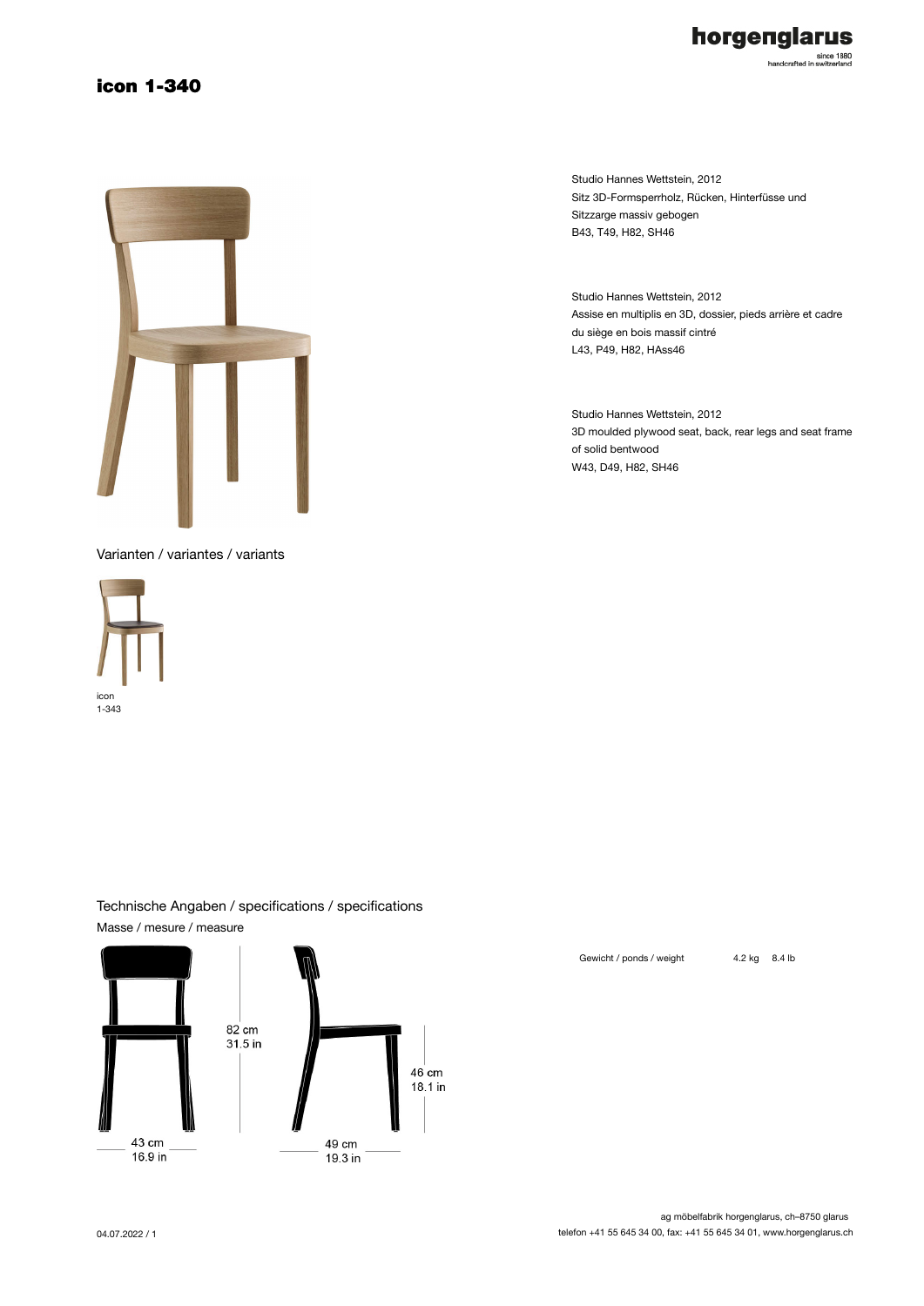### icon 1-340



Varianten / variantes / variants



Studio Hannes Wettstein, 2012 Sitz 3D-Formsperrholz, Rücken, Hinterfüsse und Sitzzarge massiv gebogen B43, T49, H82, SH46

horgenglarus

since 1880<br>handcrafted in switzerland

Studio Hannes Wettstein, 2012 Assise en multiplis en 3D, dossier, pieds arrière et cadre du siège en bois massif cintré L43, P49, H82, HAss46

Studio Hannes Wettstein, 2012 3D moulded plywood seat, back, rear legs and seat frame of solid bentwood W43, D49, H82, SH46

### Technische Angaben / specifications / specifications Masse / mesure / measure



Gewicht / ponds / weight 4.2 kg 8.4 lb

ag möbelfabrik horgenglarus, ch–8750 glarus telefon +41 55 645 34 00, fax: +41 55 645 34 01, www.horgenglarus.ch